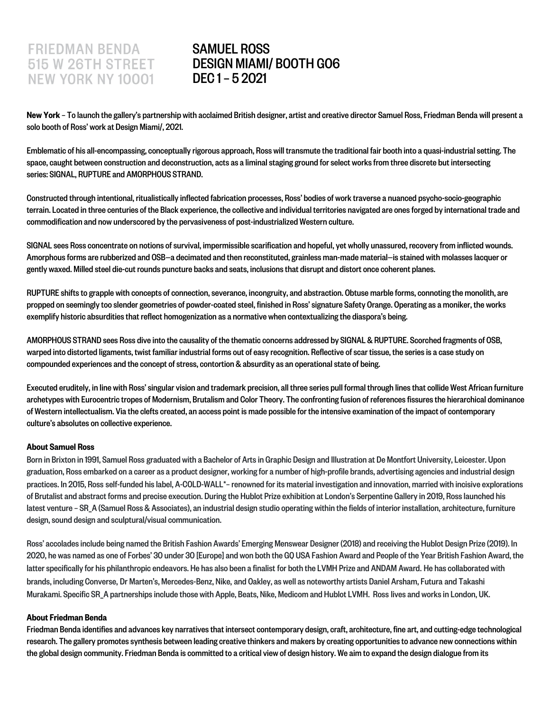# **FRIEDMAN BENDA** 515 W 26TH STREET NEW YORK NY 10001

# SAMUEL ROSS DESIGN MIAMI/ BOOTH G06 DEC 1 – 5 2021

New York – To launch the gallery's partnership with acclaimed British designer, artist and creative director Samuel Ross, Friedman Benda will present a solo booth of Ross' work at Design Miami/, 2021.

Emblematic of his all-encompassing, conceptually rigorous approach, Ross will transmute the traditional fair booth into a quasi-industrial setting. The space, caught between construction and deconstruction, acts as a liminal staging ground for select works from three discrete but intersecting series: SIGNAL, RUPTURE and AMORPHOUS STRAND.

Constructed through intentional, ritualistically inflected fabrication processes, Ross' bodies of work traverse a nuanced psycho-socio-geographic terrain. Located in three centuries of the Black experience, the collective and individual territories navigated are ones forged by international trade and commodification and now underscored by the pervasiveness of post-industrialized Western culture.

SIGNAL sees Ross concentrate on notions of survival, impermissible scarification and hopeful, yet wholly unassured, recovery from inflicted wounds. Amorphous forms are rubberized and OSB—a decimated and then reconstituted, grainless man-made material—is stained with molasses lacquer or gently waxed. Milled steel die-cut rounds puncture backs and seats, inclusions that disrupt and distort once coherent planes.

RUPTURE shifts to grapple with concepts of connection, severance, incongruity, and abstraction. Obtuse marble forms, connoting the monolith, are propped on seemingly too slender geometries of powder-coated steel, finished in Ross' signature Safety Orange. Operating as a moniker, the works exemplify historic absurdities that reflect homogenization as a normative when contextualizing the diaspora's being.

AMORPHOUS STRAND sees Ross dive into the causality of the thematic concerns addressed by SIGNAL & RUPTURE. Scorched fragments of OSB, warped into distorted ligaments, twist familiar industrial forms out of easy recognition. Reflective of scar tissue, the series is a case study on compounded experiences and the concept of stress, contortion & absurdity as an operational state of being.

Executed eruditely, in line with Ross' singular vision and trademark precision, all three series pull formal through lines that collide West African furniture archetypes with Eurocentric tropes of Modernism, Brutalism and Color Theory. The confronting fusion of references fissures the hierarchical dominance of Western intellectualism. Via the clefts created, an access point is made possible for the intensive examination of the impact of contemporary culture's absolutes on collective experience.

#### About Samuel Ross

Born in Brixton in 1991, Samuel Ross graduated with a Bachelor of Arts in Graphic Design and Illustration at De Montfort University, Leicester. Upon graduation, Ross embarked on a career as a product designer, working for a number of high-profile brands, advertising agenciesand industrial design practices. In 2015, Ross self-funded his label, A-COLD-WALL\*- renowned for its material investigation and innovation, married with incisive explorations of Brutalist and abstract forms and precise execution. During the Hublot Prize exhibition at London's Serpentine Gallery in 2019, Ross launched his latest venture - SR\_A (Samuel Ross & Associates), an industrial design studio operating within the fields of interior installation, architecture, furniture design, sound design and sculptural/visual communication.

Ross' accolades include being named the British Fashion Awards' Emerging Menswear Designer (2018) and receiving the Hublot Design Prize (2019). In 2020, he was named as one of Forbes' 30 under 30 [Europe]and won both the GQ USA Fashion Award and People of the Year British Fashion Award, the latter specifically for his philanthropic endeavors. He has also been a finalist for both the LVMH Prize and ANDAM Award. He has collaborated with brands, including Converse, Dr Marten's, Mercedes-Benz, Nike, and Oakley, as well as noteworthy artists Daniel Arsham, Futura and Takashi Murakami. Specific SR A partnerships include those with Apple, Beats, Nike, Medicom and Hublot LVMH. Ross lives and works in London, UK.

#### About Friedman Benda

Friedman Benda identifies and advances key narratives that intersect contemporary design, craft, architecture, fine art, and cutting-edge technological research. The gallery promotes synthesis between leading creative thinkers and makers by creating opportunities to advance new connections within the global design community. Friedman Benda is committed to a critical view of design history. We aim to expand the design dialogue from its